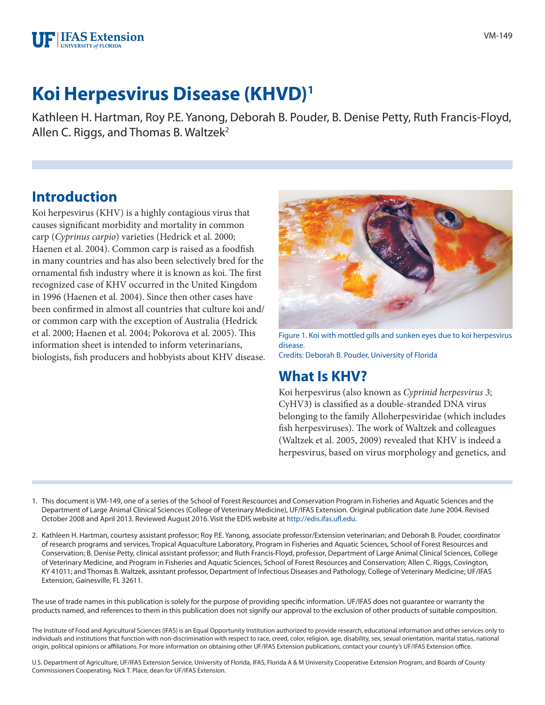

# **Koi Herpesvirus Disease (KHVD)1**

Kathleen H. Hartman, Roy P.E. Yanong, Deborah B. Pouder, B. Denise Petty, Ruth Francis-Floyd, Allen C. Riggs, and Thomas B. Waltzek<sup>2</sup>

### **Introduction**

Koi herpesvirus (KHV) is a highly contagious virus that causes significant morbidity and mortality in common carp (*Cyprinus carpio*) varieties (Hedrick et al. 2000; Haenen et al. 2004). Common carp is raised as a foodfish in many countries and has also been selectively bred for the ornamental fish industry where it is known as koi. The first recognized case of KHV occurred in the United Kingdom in 1996 (Haenen et al. 2004). Since then other cases have been confirmed in almost all countries that culture koi and/ or common carp with the exception of Australia (Hedrick et al. 2000; Haenen et al. 2004; Pokorova et al. 2005). This information sheet is intended to inform veterinarians, biologists, fish producers and hobbyists about KHV disease.



Figure 1. Koi with mottled gills and sunken eyes due to koi herpesvirus disease. Credits: Deborah B. Pouder, University of Florida

### **What Is KHV?**

Koi herpesvirus (also known as *Cyprinid herpesvirus 3*; CyHV3) is classified as a double-stranded DNA virus belonging to the family Alloherpesviridae (which includes fish herpesviruses). The work of Waltzek and colleagues (Waltzek et al. 2005, 2009) revealed that KHV is indeed a herpesvirus, based on virus morphology and genetics, and

- 1. This document is VM-149, one of a series of the School of Forest Rescources and Conservation Program in Fisheries and Aquatic Sciences and the Department of Large Animal Clinical Sciences (College of Veterinary Medicine), UF/IFAS Extension. Original publication date June 2004. Revised October 2008 and April 2013. Reviewed August 2016. Visit the EDIS website at<http://edis.ifas.ufl.edu>.
- 2. Kathleen H. Hartman, courtesy assistant professor; Roy P.E. Yanong, associate professor/Extension veterinarian; and Deborah B. Pouder, coordinator of research programs and services, Tropical Aquaculture Laboratory, Program in Fisheries and Aquatic Sciences, School of Forest Resources and Conservation; B. Denise Petty, clinical assistant professor; and Ruth Francis-Floyd, professor, Department of Large Animal Clinical Sciences, College of Veterinary Medicine, and Program in Fisheries and Aquatic Sciences, School of Forest Resources and Conservation; Allen C. Riggs, Covington, KY 41011; and Thomas B. Waltzek, assistant professor, Department of Infectious Diseases and Pathology, College of Veterinary Medicine; UF/IFAS Extension, Gainesville, FL 32611.

The use of trade names in this publication is solely for the purpose of providing specific information. UF/IFAS does not guarantee or warranty the products named, and references to them in this publication does not signify our approval to the exclusion of other products of suitable composition.

The Institute of Food and Agricultural Sciences (IFAS) is an Equal Opportunity Institution authorized to provide research, educational information and other services only to individuals and institutions that function with non-discrimination with respect to race, creed, color, religion, age, disability, sex, sexual orientation, marital status, national origin, political opinions or affiliations. For more information on obtaining other UF/IFAS Extension publications, contact your county's UF/IFAS Extension office.

U.S. Department of Agriculture, UF/IFAS Extension Service, University of Florida, IFAS, Florida A & M University Cooperative Extension Program, and Boards of County Commissioners Cooperating. Nick T. Place, dean for UF/IFAS Extension.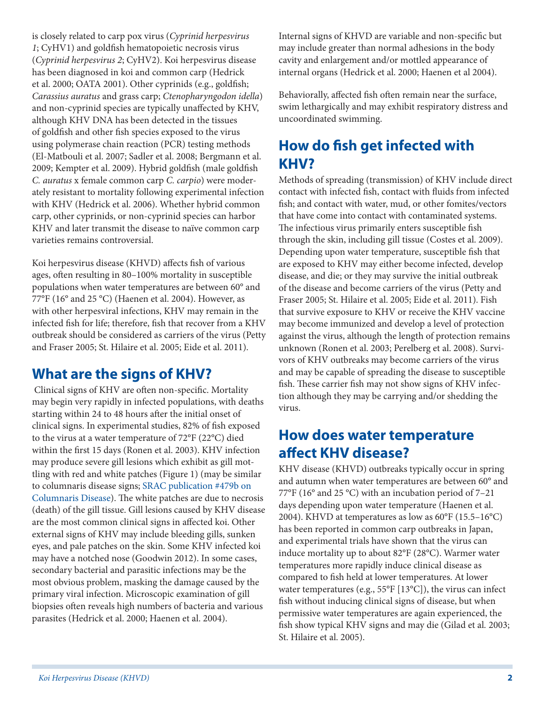is closely related to carp pox virus (*Cyprinid herpesvirus 1*; CyHV1) and goldfish hematopoietic necrosis virus (*Cyprinid herpesvirus 2*; CyHV2). Koi herpesvirus disease has been diagnosed in koi and common carp (Hedrick et al. 2000; OATA 2001). Other cyprinids (e.g., goldfish; *Carassius auratus* and grass carp; *Ctenopharyngodon idella*) and non-cyprinid species are typically unaffected by KHV, although KHV DNA has been detected in the tissues of goldfish and other fish species exposed to the virus using polymerase chain reaction (PCR) testing methods (El-Matbouli et al. 2007; Sadler et al. 2008; Bergmann et al. 2009; Kempter et al. 2009). Hybrid goldfish (male goldfish *C. auratus* x female common carp *C. carpio*) were moderately resistant to mortality following experimental infection with KHV (Hedrick et al. 2006). Whether hybrid common carp, other cyprinids, or non-cyprinid species can harbor KHV and later transmit the disease to naïve common carp varieties remains controversial.

Koi herpesvirus disease (KHVD) affects fish of various ages, often resulting in 80–100% mortality in susceptible populations when water temperatures are between 60° and 77°F (16° and 25 °C) (Haenen et al. 2004). However, as with other herpesviral infections, KHV may remain in the infected fish for life; therefore, fish that recover from a KHV outbreak should be considered as carriers of the virus (Petty and Fraser 2005; St. Hilaire et al. 2005; Eide et al. 2011).

### **What are the signs of KHV?**

 Clinical signs of KHV are often non-specific. Mortality may begin very rapidly in infected populations, with deaths starting within 24 to 48 hours after the initial onset of clinical signs. In experimental studies, 82% of fish exposed to the virus at a water temperature of 72°F (22°C) died within the first 15 days (Ronen et al. 2003). KHV infection may produce severe gill lesions which exhibit as gill mottling with red and white patches (Figure 1) (may be similar to columnaris disease signs; [SRAC publication #479b on](https://srac.tamu.edu/index.cfm/event/getFactSheet/whichfactsheet/128/)  [Columnaris Disease](https://srac.tamu.edu/index.cfm/event/getFactSheet/whichfactsheet/128/)). The white patches are due to necrosis (death) of the gill tissue. Gill lesions caused by KHV disease are the most common clinical signs in affected koi. Other external signs of KHV may include bleeding gills, sunken eyes, and pale patches on the skin. Some KHV infected koi may have a notched nose (Goodwin 2012). In some cases, secondary bacterial and parasitic infections may be the most obvious problem, masking the damage caused by the primary viral infection. Microscopic examination of gill biopsies often reveals high numbers of bacteria and various parasites (Hedrick et al. 2000; Haenen et al. 2004).

Internal signs of KHVD are variable and non-specific but may include greater than normal adhesions in the body cavity and enlargement and/or mottled appearance of internal organs (Hedrick et al. 2000; Haenen et al 2004).

Behaviorally, affected fish often remain near the surface, swim lethargically and may exhibit respiratory distress and uncoordinated swimming.

# **How do fish get infected with KHV?**

Methods of spreading (transmission) of KHV include direct contact with infected fish, contact with fluids from infected fish; and contact with water, mud, or other fomites/vectors that have come into contact with contaminated systems. The infectious virus primarily enters susceptible fish through the skin, including gill tissue (Costes et al. 2009). Depending upon water temperature, susceptible fish that are exposed to KHV may either become infected, develop disease, and die; or they may survive the initial outbreak of the disease and become carriers of the virus (Petty and Fraser 2005; St. Hilaire et al. 2005; Eide et al. 2011). Fish that survive exposure to KHV or receive the KHV vaccine may become immunized and develop a level of protection against the virus, although the length of protection remains unknown (Ronen et al. 2003; Perelberg et al. 2008). Survivors of KHV outbreaks may become carriers of the virus and may be capable of spreading the disease to susceptible fish. These carrier fish may not show signs of KHV infection although they may be carrying and/or shedding the virus.

### **How does water temperature affect KHV disease?**

KHV disease (KHVD) outbreaks typically occur in spring and autumn when water temperatures are between 60° and 77°F (16° and 25 °C) with an incubation period of 7–21 days depending upon water temperature (Haenen et al. 2004). KHVD at temperatures as low as 60°F (15.5–16°C) has been reported in common carp outbreaks in Japan, and experimental trials have shown that the virus can induce mortality up to about 82°F (28°C). Warmer water temperatures more rapidly induce clinical disease as compared to fish held at lower temperatures. At lower water temperatures (e.g., 55°F [13°C]), the virus can infect fish without inducing clinical signs of disease, but when permissive water temperatures are again experienced, the fish show typical KHV signs and may die (Gilad et al*.* 2003; St. Hilaire et al. 2005).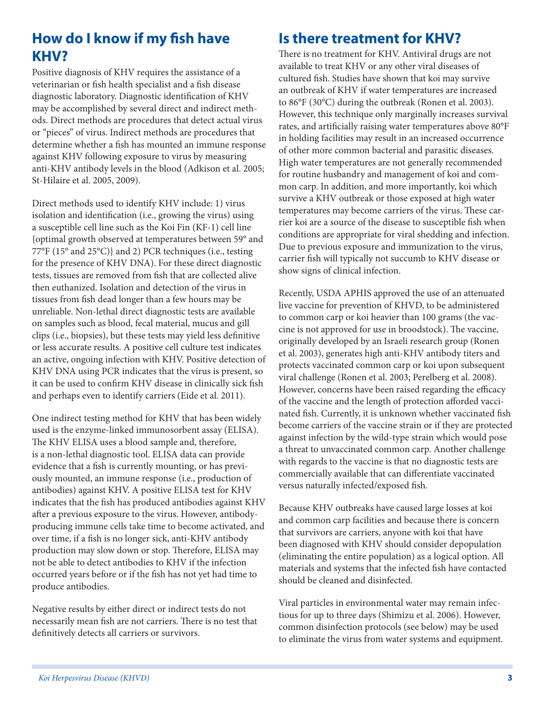# **How do I know if my fish have KHV?**

Positive diagnosis of KHV requires the assistance of a veterinarian or fish health specialist and a fish disease diagnostic laboratory. Diagnostic identification of KHV may be accomplished by several direct and indirect methods. Direct methods are procedures that detect actual virus or "pieces" of virus. Indirect methods are procedures that determine whether a fish has mounted an immune response against KHV following exposure to virus by measuring anti-KHV antibody levels in the blood (Adkison et al. 2005; St-Hilaire et al. 2005, 2009).

Direct methods used to identify KHV include: 1) virus isolation and identification (i.e., growing the virus) using a susceptible cell line such as the Koi Fin (KF-1) cell line {optimal growth observed at temperatures between 59° and 77°F (15° and 25°C)} and 2) PCR techniques (i.e., testing for the presence of KHV DNA). For these direct diagnostic tests, tissues are removed from fish that are collected alive then euthanized. Isolation and detection of the virus in tissues from fish dead longer than a few hours may be unreliable. Non-lethal direct diagnostic tests are available on samples such as blood, fecal material, mucus and gill clips (i.e., biopsies), but these tests may yield less definitive or less accurate results. A positive cell culture test indicates an active, ongoing infection with KHV. Positive detection of KHV DNA using PCR indicates that the virus is present, so it can be used to confirm KHV disease in clinically sick fish and perhaps even to identify carriers (Eide et al. 2011).

One indirect testing method for KHV that has been widely used is the enzyme-linked immunosorbent assay (ELISA). The KHV ELISA uses a blood sample and, therefore, is a non-lethal diagnostic tool. ELISA data can provide evidence that a fish is currently mounting, or has previously mounted, an immune response (i.e., production of antibodies) against KHV. A positive ELISA test for KHV indicates that the fish has produced antibodies against KHV after a previous exposure to the virus. However, antibodyproducing immune cells take time to become activated, and over time, if a fish is no longer sick, anti-KHV antibody production may slow down or stop. Therefore, ELISA may not be able to detect antibodies to KHV if the infection occurred years before or if the fish has not yet had time to produce antibodies.

Negative results by either direct or indirect tests do not necessarily mean fish are not carriers. There is no test that definitively detects all carriers or survivors.

### **Is there treatment for KHV?**

There is no treatment for KHV. Antiviral drugs are not available to treat KHV or any other viral diseases of cultured fish. Studies have shown that koi may survive an outbreak of KHV if water temperatures are increased to 86°F (30°C) during the outbreak (Ronen et al. 2003). However, this technique only marginally increases survival rates, and artificially raising water temperatures above 80°F in holding facilities may result in an increased occurrence of other more common bacterial and parasitic diseases. High water temperatures are not generally recommended for routine husbandry and management of koi and common carp. In addition, and more importantly, koi which survive a KHV outbreak or those exposed at high water temperatures may become carriers of the virus. These carrier koi are a source of the disease to susceptible fish when conditions are appropriate for viral shedding and infection. Due to previous exposure and immunization to the virus, carrier fish will typically not succumb to KHV disease or show signs of clinical infection.

Recently, USDA APHIS approved the use of an attenuated live vaccine for prevention of KHVD, to be administered to common carp or koi heavier than 100 grams (the vaccine is not approved for use in broodstock). The vaccine, originally developed by an Israeli research group (Ronen et al. 2003), generates high anti-KHV antibody titers and protects vaccinated common carp or koi upon subsequent viral challenge (Ronen et al. 2003; Perelberg et al. 2008). However, concerns have been raised regarding the efficacy of the vaccine and the length of protection afforded vaccinated fish. Currently, it is unknown whether vaccinated fish become carriers of the vaccine strain or if they are protected against infection by the wild-type strain which would pose a threat to unvaccinated common carp. Another challenge with regards to the vaccine is that no diagnostic tests are commercially available that can differentiate vaccinated versus naturally infected/exposed fish.

Because KHV outbreaks have caused large losses at koi and common carp facilities and because there is concern that survivors are carriers, anyone with koi that have been diagnosed with KHV should consider depopulation (eliminating the entire population) as a logical option. All materials and systems that the infected fish have contacted should be cleaned and disinfected.

Viral particles in environmental water may remain infectious for up to three days (Shimizu et al. 2006). However, common disinfection protocols (see below) may be used to eliminate the virus from water systems and equipment.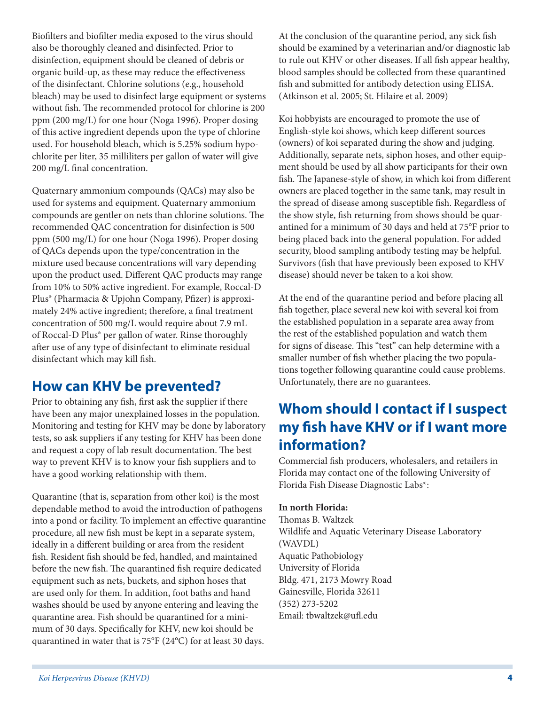Biofilters and biofilter media exposed to the virus should also be thoroughly cleaned and disinfected. Prior to disinfection, equipment should be cleaned of debris or organic build-up, as these may reduce the effectiveness of the disinfectant. Chlorine solutions (e.g., household bleach) may be used to disinfect large equipment or systems without fish. The recommended protocol for chlorine is 200 ppm (200 mg/L) for one hour (Noga 1996). Proper dosing of this active ingredient depends upon the type of chlorine used. For household bleach, which is 5.25% sodium hypochlorite per liter, 35 milliliters per gallon of water will give 200 mg/L final concentration.

Quaternary ammonium compounds (QACs) may also be used for systems and equipment. Quaternary ammonium compounds are gentler on nets than chlorine solutions. The recommended QAC concentration for disinfection is 500 ppm (500 mg/L) for one hour (Noga 1996). Proper dosing of QACs depends upon the type/concentration in the mixture used because concentrations will vary depending upon the product used. Different QAC products may range from 10% to 50% active ingredient. For example, Roccal-D Plus® (Pharmacia & Upjohn Company, Pfizer) is approximately 24% active ingredient; therefore, a final treatment concentration of 500 mg/L would require about 7.9 mL of Roccal-D Plus® per gallon of water. Rinse thoroughly after use of any type of disinfectant to eliminate residual disinfectant which may kill fish.

### **How can KHV be prevented?**

Prior to obtaining any fish, first ask the supplier if there have been any major unexplained losses in the population. Monitoring and testing for KHV may be done by laboratory tests, so ask suppliers if any testing for KHV has been done and request a copy of lab result documentation. The best way to prevent KHV is to know your fish suppliers and to have a good working relationship with them.

Quarantine (that is, separation from other koi) is the most dependable method to avoid the introduction of pathogens into a pond or facility. To implement an effective quarantine procedure, all new fish must be kept in a separate system, ideally in a different building or area from the resident fish. Resident fish should be fed, handled, and maintained before the new fish. The quarantined fish require dedicated equipment such as nets, buckets, and siphon hoses that are used only for them. In addition, foot baths and hand washes should be used by anyone entering and leaving the quarantine area. Fish should be quarantined for a minimum of 30 days. Specifically for KHV, new koi should be quarantined in water that is 75°F (24°C) for at least 30 days.

At the conclusion of the quarantine period, any sick fish should be examined by a veterinarian and/or diagnostic lab to rule out KHV or other diseases. If all fish appear healthy, blood samples should be collected from these quarantined fish and submitted for antibody detection using ELISA. (Atkinson et al. 2005; St. Hilaire et al. 2009)

Koi hobbyists are encouraged to promote the use of English-style koi shows, which keep different sources (owners) of koi separated during the show and judging. Additionally, separate nets, siphon hoses, and other equipment should be used by all show participants for their own fish. The Japanese-style of show, in which koi from different owners are placed together in the same tank, may result in the spread of disease among susceptible fish. Regardless of the show style, fish returning from shows should be quarantined for a minimum of 30 days and held at 75°F prior to being placed back into the general population. For added security, blood sampling antibody testing may be helpful. Survivors (fish that have previously been exposed to KHV disease) should never be taken to a koi show.

At the end of the quarantine period and before placing all fish together, place several new koi with several koi from the established population in a separate area away from the rest of the established population and watch them for signs of disease. This "test" can help determine with a smaller number of fish whether placing the two populations together following quarantine could cause problems. Unfortunately, there are no guarantees.

### **Whom should I contact if I suspect my fish have KHV or if I want more information?**

Commercial fish producers, wholesalers, and retailers in Florida may contact one of the following University of Florida Fish Disease Diagnostic Labs\*:

#### **In north Florida:**

Thomas B. Waltzek Wildlife and Aquatic Veterinary Disease Laboratory (WAVDL) Aquatic Pathobiology University of Florida Bldg. 471, 2173 Mowry Road Gainesville, Florida 32611 (352) 273-5202 Email: tbwaltzek@ufl.edu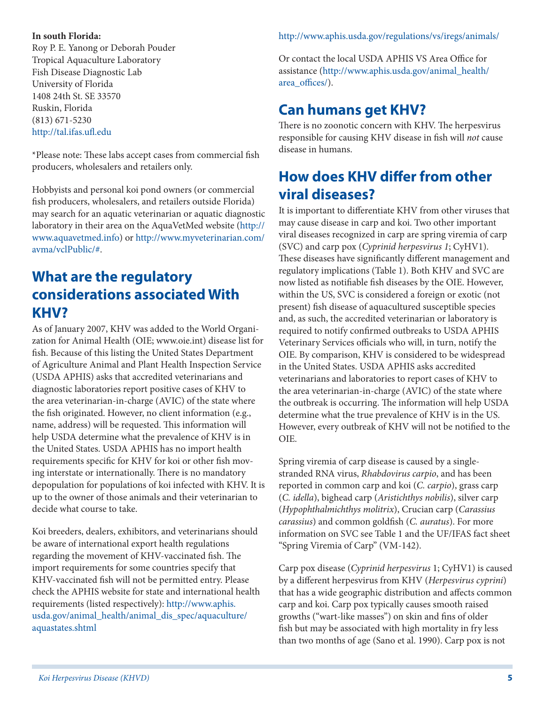#### **In south Florida:**

Roy P. E. Yanong or Deborah Pouder Tropical Aquaculture Laboratory Fish Disease Diagnostic Lab University of Florida 1408 24th St. SE 33570 Ruskin, Florida (813) 671-5230 <http://tal.ifas.ufl.edu>

\*Please note: These labs accept cases from commercial fish producers, wholesalers and retailers only.

Hobbyists and personal koi pond owners (or commercial fish producers, wholesalers, and retailers outside Florida) may search for an aquatic veterinarian or aquatic diagnostic laboratory in their area on the AquaVetMed website ([http://](http://www.aquavetmed.info) [www.aquavetmed.info](http://www.aquavetmed.info)) or [http://www.myveterinarian.com/](http://www.myveterinarian.com/avma/vclPublic/#) [avma/vclPublic/#](http://www.myveterinarian.com/avma/vclPublic/#).

### **What are the regulatory considerations associated With KHV?**

As of January 2007, KHV was added to the World Organization for Animal Health (OIE; www.oie.int) disease list for fish. Because of this listing the United States Department of Agriculture Animal and Plant Health Inspection Service (USDA APHIS) asks that accredited veterinarians and diagnostic laboratories report positive cases of KHV to the area veterinarian-in-charge (AVIC) of the state where the fish originated. However, no client information (e.g., name, address) will be requested. This information will help USDA determine what the prevalence of KHV is in the United States. USDA APHIS has no import health requirements specific for KHV for koi or other fish moving interstate or internationally. There is no mandatory depopulation for populations of koi infected with KHV. It is up to the owner of those animals and their veterinarian to decide what course to take.

Koi breeders, dealers, exhibitors, and veterinarians should be aware of international export health regulations regarding the movement of KHV-vaccinated fish. The import requirements for some countries specify that KHV-vaccinated fish will not be permitted entry. Please check the APHIS website for state and international health requirements (listed respectively): [http://www.aphis.](http://www.aphis.usda.gov/animal_health/animal_dis_spec/aquaculture/aquastates.shtml) [usda.gov/animal\\_health/animal\\_dis\\_spec/aquaculture/](http://www.aphis.usda.gov/animal_health/animal_dis_spec/aquaculture/aquastates.shtml) [aquastates.shtml](http://www.aphis.usda.gov/animal_health/animal_dis_spec/aquaculture/aquastates.shtml)

#### <http://www.aphis.usda.gov/regulations/vs/iregs/animals/>

Or contact the local USDA APHIS VS Area Office for assistance ([http://www.aphis.usda.gov/animal\\_health/](http://www.aphis.usda.gov/animal_health/area_offices/) [area\\_offices/](http://www.aphis.usda.gov/animal_health/area_offices/)).

### **Can humans get KHV?**

There is no zoonotic concern with KHV. The herpesvirus responsible for causing KHV disease in fish will *not* cause disease in humans.

### **How does KHV differ from other viral diseases?**

It is important to differentiate KHV from other viruses that may cause disease in carp and koi. Two other important viral diseases recognized in carp are spring viremia of carp (SVC) and carp pox (*Cyprinid herpesvirus 1*; CyHV1). These diseases have significantly different management and regulatory implications (Table 1). Both KHV and SVC are now listed as notifiable fish diseases by the OIE. However, within the US, SVC is considered a foreign or exotic (not present) fish disease of aquacultured susceptible species and, as such, the accredited veterinarian or laboratory is required to notify confirmed outbreaks to USDA APHIS Veterinary Services officials who will, in turn, notify the OIE. By comparison, KHV is considered to be widespread in the United States. USDA APHIS asks accredited veterinarians and laboratories to report cases of KHV to the area veterinarian-in-charge (AVIC) of the state where the outbreak is occurring. The information will help USDA determine what the true prevalence of KHV is in the US. However, every outbreak of KHV will not be notified to the OIE.

Spring viremia of carp disease is caused by a singlestranded RNA virus, *Rhabdovirus carpio*, and has been reported in common carp and koi (*C. carpio*), grass carp (*C. idella*), bighead carp (*Aristichthys nobilis*), silver carp (*Hypophthalmichthys molitrix*), Crucian carp (*Carassius carassius*) and common goldfish (*C. auratus*). For more information on SVC see Table 1 and the UF/IFAS fact sheet "Spring Viremia of Carp" (VM-142).

Carp pox disease (*Cyprinid herpesvirus* 1; CyHV1) is caused by a different herpesvirus from KHV (*Herpesvirus cyprini*) that has a wide geographic distribution and affects common carp and koi. Carp pox typically causes smooth raised growths ("wart-like masses") on skin and fins of older fish but may be associated with high mortality in fry less than two months of age (Sano et al. 1990). Carp pox is not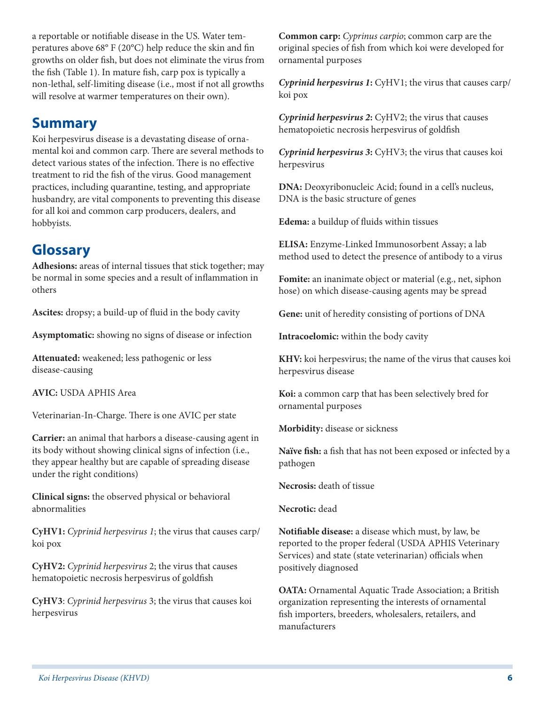a reportable or notifiable disease in the US. Water temperatures above 68° F (20°C) help reduce the skin and fin growths on older fish, but does not eliminate the virus from the fish (Table 1). In mature fish, carp pox is typically a non-lethal, self-limiting disease (i.e., most if not all growths will resolve at warmer temperatures on their own).

### **Summary**

Koi herpesvirus disease is a devastating disease of ornamental koi and common carp. There are several methods to detect various states of the infection. There is no effective treatment to rid the fish of the virus. Good management practices, including quarantine, testing, and appropriate husbandry, are vital components to preventing this disease for all koi and common carp producers, dealers, and hobbyists.

### **Glossary**

**Adhesions:** areas of internal tissues that stick together; may be normal in some species and a result of inflammation in others

**Ascites:** dropsy; a build-up of fluid in the body cavity

**Asymptomatic:** showing no signs of disease or infection

**Attenuated:** weakened; less pathogenic or less disease-causing

**AVIC:** USDA APHIS Area

Veterinarian-In-Charge. There is one AVIC per state

**Carrier:** an animal that harbors a disease-causing agent in its body without showing clinical signs of infection (i.e., they appear healthy but are capable of spreading disease under the right conditions)

**Clinical signs:** the observed physical or behavioral abnormalities

**CyHV1:** *Cyprinid herpesvirus 1*; the virus that causes carp/ koi pox

**CyHV2:** *Cyprinid herpesvirus* 2; the virus that causes hematopoietic necrosis herpesvirus of goldfish

**CyHV3**: *Cyprinid herpesvirus* 3; the virus that causes koi herpesvirus

**Common carp:** *Cyprinus carpio*; common carp are the original species of fish from which koi were developed for ornamental purposes

*Cyprinid herpesvirus 1***:** CyHV1; the virus that causes carp/ koi pox

*Cyprinid herpesvirus 2***:** CyHV2; the virus that causes hematopoietic necrosis herpesvirus of goldfish

*Cyprinid herpesvirus 3***:** CyHV3; the virus that causes koi herpesvirus

**DNA:** Deoxyribonucleic Acid; found in a cell's nucleus, DNA is the basic structure of genes

**Edema:** a buildup of fluids within tissues

**ELISA:** Enzyme-Linked Immunosorbent Assay; a lab method used to detect the presence of antibody to a virus

**Fomite:** an inanimate object or material (e.g., net, siphon hose) on which disease-causing agents may be spread

**Gene:** unit of heredity consisting of portions of DNA

**Intracoelomic:** within the body cavity

**KHV:** koi herpesvirus; the name of the virus that causes koi herpesvirus disease

**Koi:** a common carp that has been selectively bred for ornamental purposes

**Morbidity:** disease or sickness

**Naïve fish:** a fish that has not been exposed or infected by a pathogen

**Necrosis:** death of tissue

**Necrotic:** dead

**Notifiable disease:** a disease which must, by law, be reported to the proper federal (USDA APHIS Veterinary Services) and state (state veterinarian) officials when positively diagnosed

**OATA:** Ornamental Aquatic Trade Association; a British organization representing the interests of ornamental fish importers, breeders, wholesalers, retailers, and manufacturers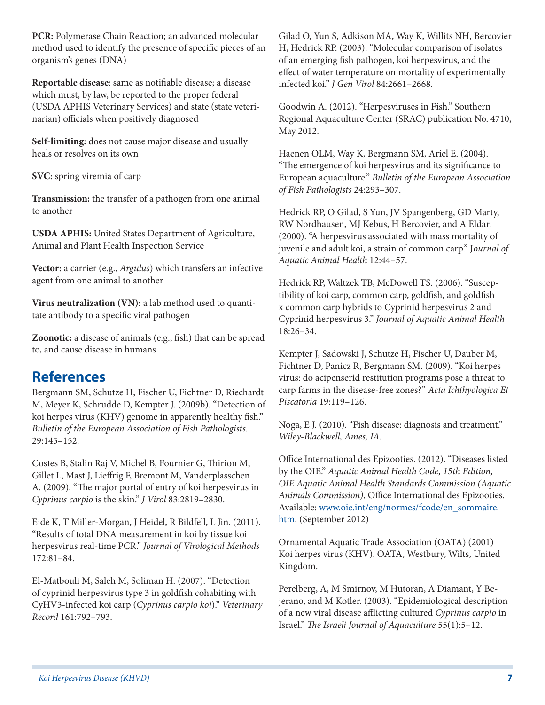**PCR:** Polymerase Chain Reaction; an advanced molecular method used to identify the presence of specific pieces of an organism's genes (DNA)

**Reportable disease**: same as notifiable disease; a disease which must, by law, be reported to the proper federal (USDA APHIS Veterinary Services) and state (state veterinarian) officials when positively diagnosed

**Self-limiting:** does not cause major disease and usually heals or resolves on its own

**SVC:** spring viremia of carp

**Transmission:** the transfer of a pathogen from one animal to another

**USDA APHIS:** United States Department of Agriculture, Animal and Plant Health Inspection Service

**Vector:** a carrier (e.g., *Argulus*) which transfers an infective agent from one animal to another

**Virus neutralization (VN):** a lab method used to quantitate antibody to a specific viral pathogen

**Zoonotic:** a disease of animals (e.g., fish) that can be spread to, and cause disease in humans

### **References**

Bergmann SM, Schutze H, Fischer U, Fichtner D, Riechardt M, Meyer K, Schrudde D, Kempter J. (2009b). "Detection of koi herpes virus (KHV) genome in apparently healthy fish." *Bulletin of the European Association of Fish Pathologists.* 29:145–152.

Costes B, Stalin Raj V, Michel B, Fournier G, Thirion M, Gillet L, Mast J, Lieffrig F, Bremont M, Vanderplasschen A. (2009). "The major portal of entry of koi herpesvirus in *Cyprinus carpio* is the skin." *J Virol* 83:2819–2830.

Eide K, T Miller-Morgan, J Heidel, R Bildfell, L Jin. (2011). "Results of total DNA measurement in koi by tissue koi herpesvirus real-time PCR." *Journal of Virological Methods* 172:81–84.

El-Matbouli M, Saleh M, Soliman H. (2007). "Detection of cyprinid herpesvirus type 3 in goldfish cohabiting with CyHV3-infected koi carp (*Cyprinus carpio koi*)." *Veterinary Record* 161:792–793.

Gilad O, Yun S, Adkison MA, Way K, Willits NH, Bercovier H, Hedrick RP. (2003). "Molecular comparison of isolates of an emerging fish pathogen, koi herpesvirus, and the effect of water temperature on mortality of experimentally infected koi." *J Gen Virol* 84:2661–2668.

Goodwin A. (2012). "Herpesviruses in Fish." Southern Regional Aquaculture Center (SRAC) publication No. 4710, May 2012.

Haenen OLM, Way K, Bergmann SM, Ariel E. (2004). "The emergence of koi herpesvirus and its significance to European aquaculture." *Bulletin of the European Association of Fish Pathologists* 24:293–307.

Hedrick RP, O Gilad, S Yun, JV Spangenberg, GD Marty, RW Nordhausen, MJ Kebus, H Bercovier, and A Eldar. (2000). "A herpesvirus associated with mass mortality of juvenile and adult koi, a strain of common carp." J*ournal of Aquatic Animal Health* 12:44–57.

Hedrick RP, Waltzek TB, McDowell TS. (2006). "Susceptibility of koi carp, common carp, goldfish, and goldfish x common carp hybrids to Cyprinid herpesvirus 2 and Cyprinid herpesvirus 3." *Journal of Aquatic Animal Health* 18:26–34.

Kempter J, Sadowski J, Schutze H, Fischer U, Dauber M, Fichtner D, Panicz R, Bergmann SM. (2009). "Koi herpes virus: do acipenserid restitution programs pose a threat to carp farms in the disease-free zones?" *Acta Ichthyologica Et Piscatoria* 19:119–126.

Noga, E J. (2010). "Fish disease: diagnosis and treatment." *Wiley-Blackwell, Ames, IA.*

Office International des Epizooties. (2012). "Diseases listed by the OIE." *Aquatic Animal Health Code, 15th Edition, OIE Aquatic Animal Health Standards Commission (Aquatic Animals Commission)*, Office International des Epizooties. Available: [www.oie.int/eng/normes/fcode/en\\_sommaire.](www.oie.int/eng/normes/fcode/en_sommaire.htm) [htm](www.oie.int/eng/normes/fcode/en_sommaire.htm). (September 2012)

Ornamental Aquatic Trade Association (OATA) (2001) Koi herpes virus (KHV). OATA, Westbury, Wilts, United Kingdom.

Perelberg, A, M Smirnov, M Hutoran, A Diamant, Y Bejerano, and M Kotler. (2003). "Epidemiological description of a new viral disease afflicting cultured *Cyprinus carpio* in Israel." *The Israeli Journal of Aquaculture* 55(1):5–12.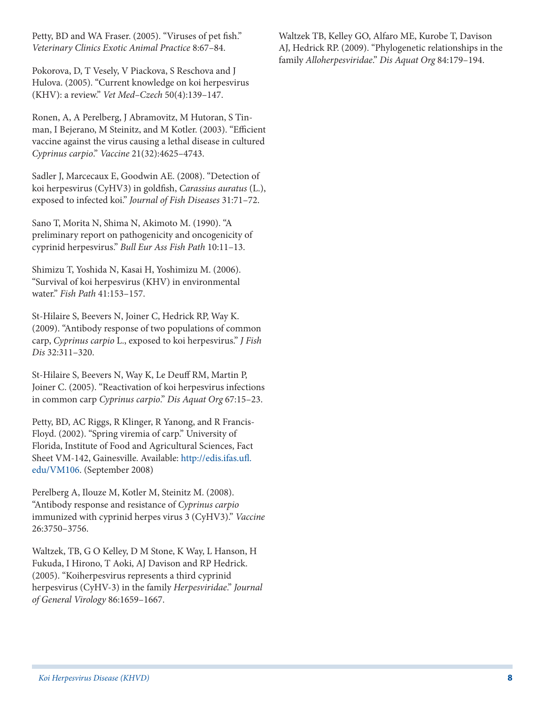Petty, BD and WA Fraser. (2005). "Viruses of pet fish." *Veterinary Clinics Exotic Animal Practice* 8:67–84.

Pokorova, D, T Vesely, V Piackova, S Reschova and J Hulova. (2005). "Current knowledge on koi herpesvirus (KHV): a review." *Vet Med–Czech* 50(4):139–147.

Ronen, A, A Perelberg, J Abramovitz, M Hutoran, S Tinman, I Bejerano, M Steinitz, and M Kotler. (2003). "Efficient vaccine against the virus causing a lethal disease in cultured *Cyprinus carpio*." *Vaccine* 21(32):4625–4743.

Sadler J, Marcecaux E, Goodwin AE. (2008). "Detection of koi herpesvirus (CyHV3) in goldfish, *Carassius auratus* (L.), exposed to infected koi." *Journal of Fish Diseases* 31:71–72.

Sano T, Morita N, Shima N, Akimoto M. (1990). "A preliminary report on pathogenicity and oncogenicity of cyprinid herpesvirus." *Bull Eur Ass Fish Path* 10:11–13.

Shimizu T, Yoshida N, Kasai H, Yoshimizu M. (2006). "Survival of koi herpesvirus (KHV) in environmental water." *Fish Path* 41:153–157.

St-Hilaire S, Beevers N, Joiner C, Hedrick RP, Way K. (2009). "Antibody response of two populations of common carp, *Cyprinus carpio* L., exposed to koi herpesvirus." *J Fish Dis* 32:311–320.

St-Hilaire S, Beevers N, Way K, Le Deuff RM, Martin P, Joiner C. (2005). "Reactivation of koi herpesvirus infections in common carp *Cyprinus carpio*." *Dis Aquat Org* 67:15–23.

Petty, BD, AC Riggs, R Klinger, R Yanong, and R Francis-Floyd. (2002). "Spring viremia of carp." University of Florida, Institute of Food and Agricultural Sciences, Fact Sheet VM-142, Gainesville. Available: [http://edis.ifas.ufl.](http://edis.ifas.ufl.edu/VM106) [edu/VM106](http://edis.ifas.ufl.edu/VM106). (September 2008)

Perelberg A, Ilouze M, Kotler M, Steinitz M. (2008). "Antibody response and resistance of *Cyprinus carpio* immunized with cyprinid herpes virus 3 (CyHV3)." *Vaccine* 26:3750–3756.

Waltzek, TB, G O Kelley, D M Stone, K Way, L Hanson, H Fukuda, I Hirono, T Aoki, AJ Davison and RP Hedrick. (2005). "Koiherpesvirus represents a third cyprinid herpesvirus (CyHV-3) in the family *Herpesviridae*." *Journal of General Virology* 86:1659–1667.

Waltzek TB, Kelley GO, Alfaro ME, Kurobe T, Davison AJ, Hedrick RP. (2009). "Phylogenetic relationships in the family *Alloherpesviridae*." *Dis Aquat Org* 84:179–194.